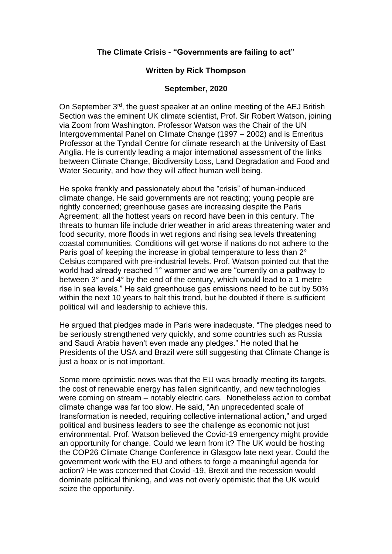## **The Climate Crisis - "Governments are failing to act"**

## **Written by Rick Thompson**

## **September, 2020**

On September 3<sup>rd</sup>, the quest speaker at an online meeting of the AEJ British Section was the eminent UK climate scientist, Prof. Sir Robert Watson, joining via Zoom from Washington. Professor Watson was the Chair of the UN Intergovernmental Panel on Climate Change (1997 – 2002) and is Emeritus Professor at the Tyndall Centre for climate research at the University of East Anglia. He is currently leading a major international assessment of the links between Climate Change, Biodiversity Loss, Land Degradation and Food and Water Security, and how they will affect human well being.

He spoke frankly and passionately about the "crisis" of human-induced climate change. He said governments are not reacting; young people are rightly concerned; greenhouse gases are increasing despite the Paris Agreement; all the hottest years on record have been in this century. The threats to human life include drier weather in arid areas threatening water and food security, more floods in wet regions and rising sea levels threatening coastal communities. Conditions will get worse if nations do not adhere to the Paris goal of keeping the increase in global temperature to less than 2° Celsius compared with pre-industrial levels. Prof. Watson pointed out that the world had already reached 1° warmer and we are "currently on a pathway to between 3° and 4° by the end of the century, which would lead to a 1 metre rise in sea levels." He said greenhouse gas emissions need to be cut by 50% within the next 10 years to halt this trend, but he doubted if there is sufficient political will and leadership to achieve this.

He argued that pledges made in Paris were inadequate. "The pledges need to be seriously strengthened very quickly, and some countries such as Russia and Saudi Arabia haven't even made any pledges." He noted that he Presidents of the USA and Brazil were still suggesting that Climate Change is just a hoax or is not important.

Some more optimistic news was that the EU was broadly meeting its targets, the cost of renewable energy has fallen significantly, and new technologies were coming on stream – notably electric cars. Nonetheless action to combat climate change was far too slow. He said, "An unprecedented scale of transformation is needed, requiring collective international action," and urged political and business leaders to see the challenge as economic not just environmental. Prof. Watson believed the Covid-19 emergency might provide an opportunity for change. Could we learn from it? The UK would be hosting the COP26 Climate Change Conference in Glasgow late next year. Could the government work with the EU and others to forge a meaningful agenda for action? He was concerned that Covid -19, Brexit and the recession would dominate political thinking, and was not overly optimistic that the UK would seize the opportunity.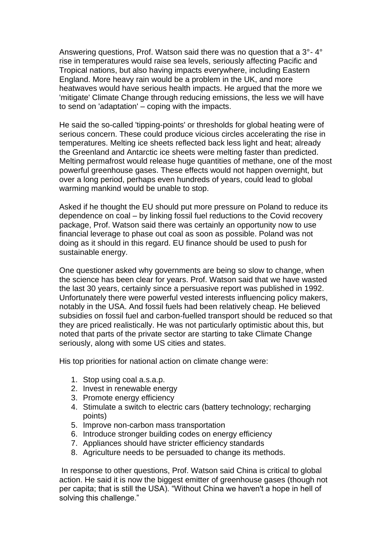Answering questions, Prof. Watson said there was no question that a 3°- 4° rise in temperatures would raise sea levels, seriously affecting Pacific and Tropical nations, but also having impacts everywhere, including Eastern England. More heavy rain would be a problem in the UK, and more heatwaves would have serious health impacts. He argued that the more we 'mitigate' Climate Change through reducing emissions, the less we will have to send on 'adaptation' – coping with the impacts.

He said the so-called 'tipping-points' or thresholds for global heating were of serious concern. These could produce vicious circles accelerating the rise in temperatures. Melting ice sheets reflected back less light and heat; already the Greenland and Antarctic ice sheets were melting faster than predicted. Melting permafrost would release huge quantities of methane, one of the most powerful greenhouse gases. These effects would not happen overnight, but over a long period, perhaps even hundreds of years, could lead to global warming mankind would be unable to stop.

Asked if he thought the EU should put more pressure on Poland to reduce its dependence on coal – by linking fossil fuel reductions to the Covid recovery package, Prof. Watson said there was certainly an opportunity now to use financial leverage to phase out coal as soon as possible. Poland was not doing as it should in this regard. EU finance should be used to push for sustainable energy.

One questioner asked why governments are being so slow to change, when the science has been clear for years. Prof. Watson said that we have wasted the last 30 years, certainly since a persuasive report was published in 1992. Unfortunately there were powerful vested interests influencing policy makers, notably in the USA. And fossil fuels had been relatively cheap. He believed subsidies on fossil fuel and carbon-fuelled transport should be reduced so that they are priced realistically. He was not particularly optimistic about this, but noted that parts of the private sector are starting to take Climate Change seriously, along with some US cities and states.

His top priorities for national action on climate change were:

- 1. Stop using coal a.s.a.p.
- 2. Invest in renewable energy
- 3. Promote energy efficiency
- 4. Stimulate a switch to electric cars (battery technology; recharging points)
- 5. Improve non-carbon mass transportation
- 6. Introduce stronger building codes on energy efficiency
- 7. Appliances should have stricter efficiency standards
- 8. Agriculture needs to be persuaded to change its methods.

In response to other questions, Prof. Watson said China is critical to global action. He said it is now the biggest emitter of greenhouse gases (though not per capita; that is still the USA). "Without China we haven't a hope in hell of solving this challenge."